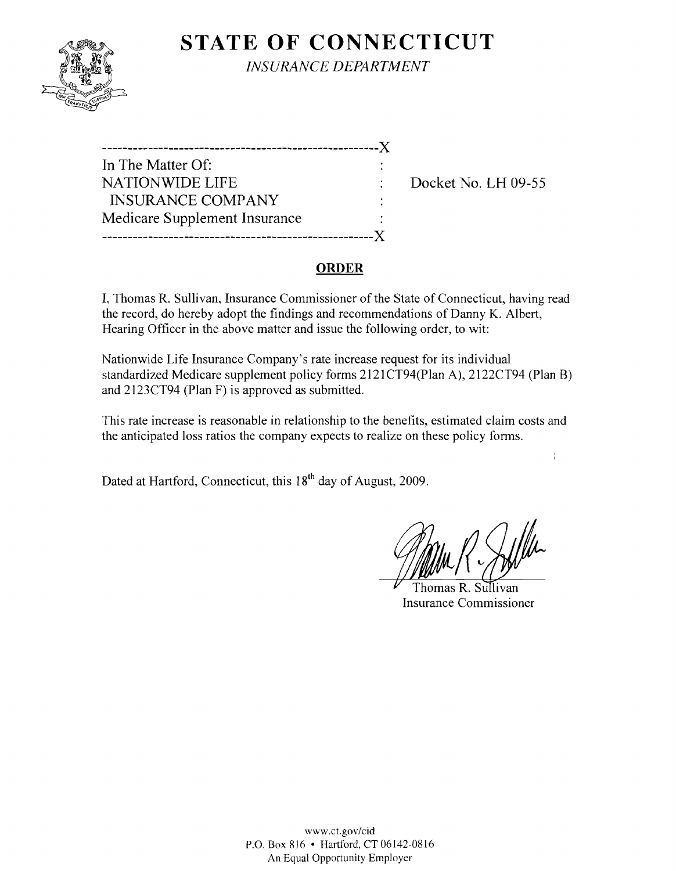# **STATE OF CONNECTICUT**



*INSURANCE DEPARTMENT* 

| ----------------------------- |  |
|-------------------------------|--|
| In The Matter Of:             |  |
| <b>NATIONWIDE LIFE</b>        |  |
| <b>INSURANCE COMPANY</b>      |  |
| Medicare Supplement Insurance |  |
|                               |  |

Docket No. LH 09-55

#### **ORDER**

I, Thomas R. Sullivan, Insurance Commissioner of the State of Connecticut, having read the record, do hereby adopt the findings and recommendations of Danny K. Albert, Hearing Officer in the above matter and issue the following order, to wit:

Nationwide Life Insurance Company's rate increase request for its individual standardized Medicare supplement policy forms 2121CT94(Plan A), 2122CT94 (Plan B) and 2123CT94 (Plan F) is approved as submitted.

This rate increase is reasonable in relationship to the benefits, estimated claim costs and the anticipated loss ratios the company expects to realize on these policy forms.

Dated at Hartford, Connecticut, this 18<sup>th</sup> day of August, 2009.

 $\mathbf{I}$ 

Thomas R. Sullivan Insurance Commissioner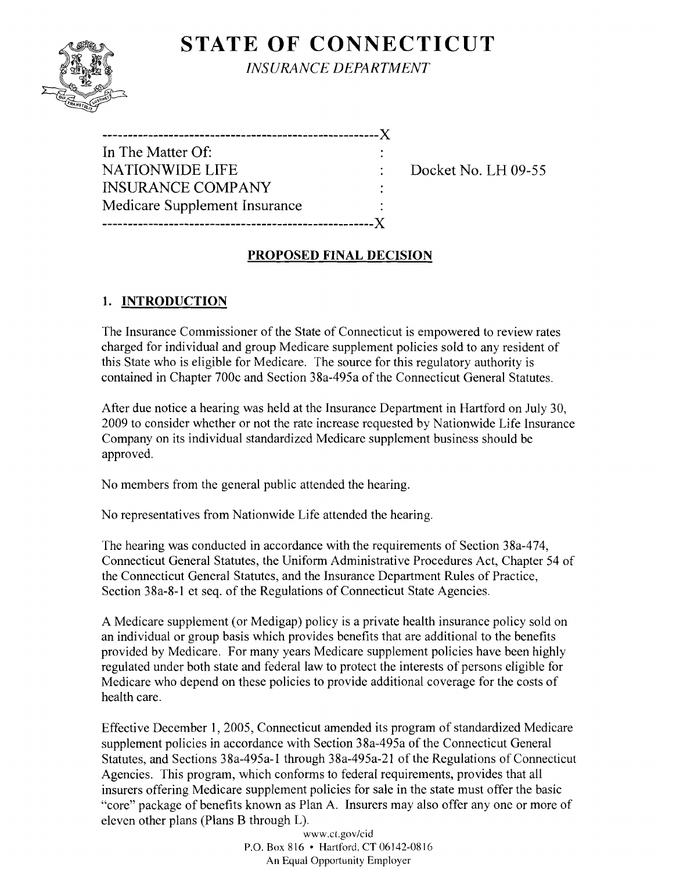# **STATE OF CONNECTICUT**



*INSURANCE DEPARTMENT* 

| In The Matter Of:             |  |
|-------------------------------|--|
| <b>NATIONWIDE LIFE</b>        |  |
| <b>INSURANCE COMPANY</b>      |  |
| Medicare Supplement Insurance |  |
|                               |  |

Docket No. LH 09-55

#### **PROPOSED FINAL DECISION**

### **1. INTRODUCTION**

The Insurance Commissioner of the State of Connecticut is empowered to review rates charged for individual and group Medicare supplement policies sold to any resident of this State who is eligible for Medicare. The source for this regulatory authority is contained in Chapter 700c and Section 38a-495a of the Connecticut General Statutes.

After due notice a hearing was held at the Insurance Department in Hartford on July 30, 2009 to consider whether or not the rate increase requested by Nationwide Life Insurance Company on its individual standardized Medicare supplement business should be approved.

No members from the general public attended the hearing.

No representatives from Nationwide Life attended the hearing.

The hearing was conducted in accordance with the requirements of Section 38a-474, Connecticut General Statutes, the Uniform Administrative Procedures Act, Chapter 54 of the Connecticut General Statutes, and the Insurance Department Rules of Practice, Section 38a-8-1 et seq. of the Regulations of Connecticut State Agencies.

A Medicare supplement (or Medigap) policy is a private health insurance policy sold on an individual or group basis which provides benefits that are additional to the benefits provided by Medicare. For many years Medicare supplement policies have been highly regulated under both state and federal law to protect the interests of persons eligible for Medicare who depend on these policies to provide additional coverage for the costs of health care.

Effective December 1, 2005, Connecticut amended its program of standardized Medicare supplement policies in accordance with Section 38a-495a of the Connecticut General Statutes, and Sections 38a-495a-l through 38a-495a-21 of the Regulations of Connecticut Agencies. This program, which conforms to federal requirements, provides that all insurers offering Medicare supplement policies for sale in the state must offer the basic "core" package of benefits known as Plan A. Insurers may also offer anyone or more of eleven other plans (Plans B through L).

www.cLgov/cid P.O. Box 816 • Hartford, CT 06142-0816 An Equal Opportunity Employer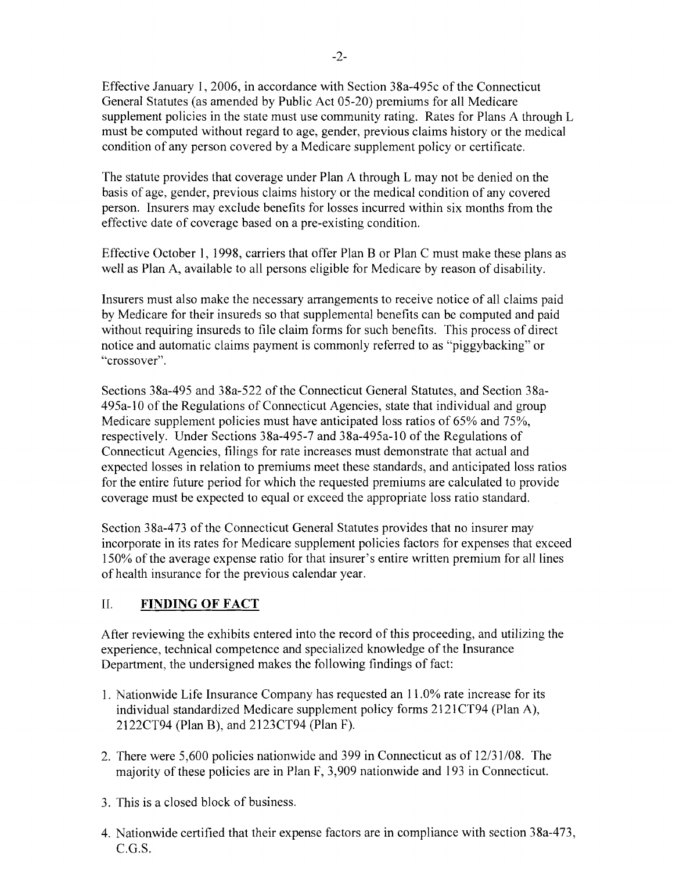Effective January 1,2006, in accordance with Section 38a-495c of the Connecticut General Statutes (as amended by Public Act 05-20) premiums for all Medicare supplement policies in the state must use community rating. Rates for Plans A through L must be computed without regard to age, gender, previous claims history or the medical condition of any person covered by a Medicare supplement policy or certificate.

The statute provides that coverage under Plan A through L may not be denied on the basis of age, gender, previous claims history or the medical condition of any covered person. Insurers may exclude benefits for losses incurred within six months from the effective date of coverage based on a pre-existing condition.

Effective October 1, 1998, carriers that offer Plan B or Plan C must make these plans as well as Plan A, available to all persons eligible for Medicare by reason of disability.

Insurers must also make the necessary arrangements to receive notice of all claims paid by Medicare for their insureds so that supplemental benefits can be computed and paid without requiring insureds to file claim forms for such benefits. This process of direct notice and automatic claims payment is commonly referred to as "piggybacking" or "crossover".

Sections 38a-495 and 38a-522 of the Connecticut General Statutes, and Section 38a-495a-10 of the Regulations of Connecticut Agencies, state that individual and group Medicare supplement policies must have anticipated loss ratios of 65% and 75%, respectively. Under Sections 38a-495-7 and 38a-495a-10 of the Regulations of Connecticut Agencies, filings for rate increases must demonstrate that actual and expected losses in relation to premiums meet these standards, and anticipated loss ratios for the entire future period for which the requested premiums are calculated to provide coverage must be expected to equal or exceed the appropriate loss ratio standard.

Section 38a-473 of the Connecticut General Statutes provides that no insurer may incorporate in its rates for Medicare supplement policies factors for expenses that exceed 150% of the average expense ratio for that insurer's entire written premium for all lines of health insurance for the previous calendar year.

### II. **FINDING OF FACT**

After reviewing the exhibits entered into the record of this proceeding, and utilizing the experience, technical competence and specialized knowledge of the Insurance Department, the undersigned makes the following findings of fact:

- 1. Nationwide Life Insurance Company has requested an 11.0% rate increase for its individual standardized Medicare supplement policy forms 2121CT94 (Plan A), 2122CT94 (Plan B), and 2123CT94 (Plan F).
- 2. There were 5,600 policies nationwide and 399 in Connecticut as of  $12/31/08$ . The majority of these policies are in Plan F, 3,909 nationwide and 193 in Connecticut.
- 3. This is a closed block of business.
- 4. Nationwide certified that their expense factors are in compliance with section 38a-473, C.G.S.